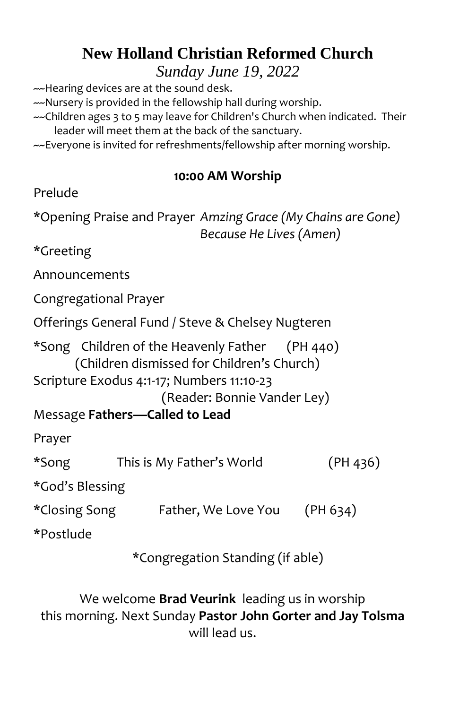## **New Holland Christian Reformed Church**

*Sunday June 19, 2022*

~~Hearing devices are at the sound desk.

~~Nursery is provided in the fellowship hall during worship.

~~Children ages 3 to 5 may leave for Children's Church when indicated. Their leader will meet them at the back of the sanctuary.

~~Everyone is invited for refreshments/fellowship after morning worship.

### **10:00 AM Worship**

| Prelude |  |
|---------|--|
|---------|--|

\*Opening Praise and Prayer *Amzing Grace (My Chains are Gone) Because He Lives (Amen)*

\*Greeting

Announcements

Congregational Prayer

Offerings General Fund / Steve & Chelsey Nugteren

\*Song Children of the Heavenly Father (PH 440) (Children dismissed for Children's Church)

Scripture Exodus 4:1-17; Numbers 11:10-23

(Reader: Bonnie Vander Ley)

Message **Fathers—Called to Lead**

Prayer

\*Song This is My Father's World (PH 436)

\*God's Blessing

\*Closing Song Father, We Love You (PH 634)

\*Postlude

\*Congregation Standing (if able)

We welcome **Brad Veurink** leading us in worship this morning. Next Sunday **Pastor John Gorter and Jay Tolsma** will lead us.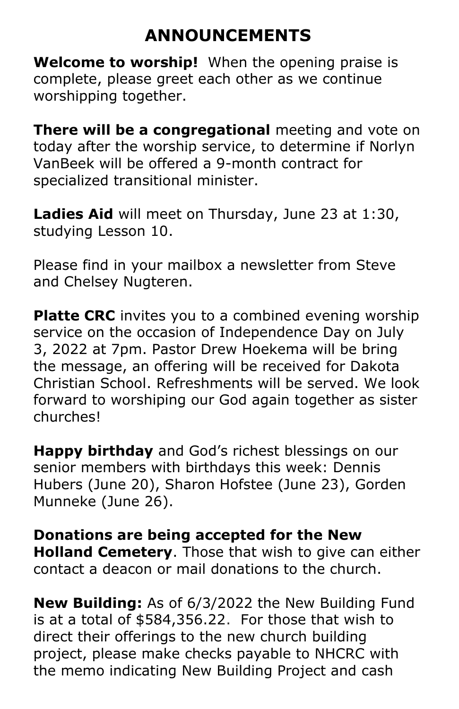# **ANNOUNCEMENTS**

**Welcome to worship!** When the opening praise is complete, please greet each other as we continue worshipping together.

**There will be a congregational** meeting and vote on today after the worship service, to determine if Norlyn VanBeek will be offered a 9-month contract for specialized transitional minister.

**Ladies Aid** will meet on Thursday, June 23 at 1:30, studying Lesson 10.

Please find in your mailbox a newsletter from Steve and Chelsey Nugteren.

**Platte CRC** invites you to a combined evening worship service on the occasion of Independence Day on July 3, 2022 at 7pm. Pastor Drew Hoekema will be bring the message, an offering will be received for Dakota Christian School. Refreshments will be served. We look forward to worshiping our God again together as sister churches!

**Happy birthday** and God's richest blessings on our senior members with birthdays this week: Dennis Hubers (June 20), Sharon Hofstee (June 23), Gorden Munneke (June 26).

**Donations are being accepted for the New Holland Cemetery**. Those that wish to give can either contact a deacon or mail donations to the church.

**New Building:** As of 6/3/2022 the New Building Fund is at a total of \$584,356.22. For those that wish to direct their offerings to the new church building project, please make checks payable to NHCRC with the memo indicating New Building Project and cash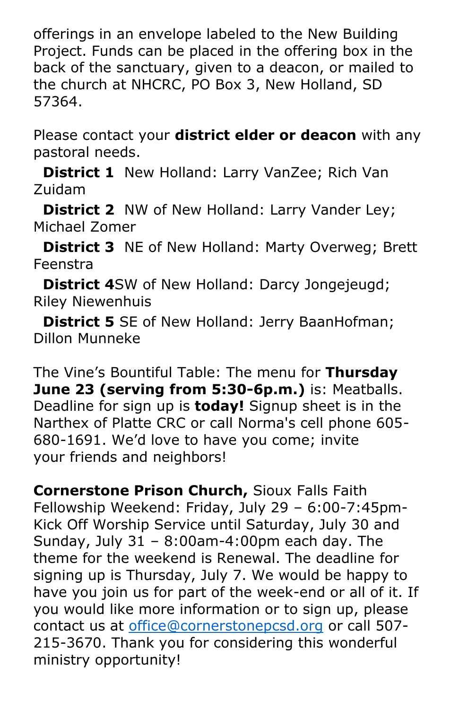offerings in an envelope labeled to the New Building Project. Funds can be placed in the offering box in the back of the sanctuary, given to a deacon, or mailed to the church at NHCRC, PO Box 3, New Holland, SD 57364.

Please contact your **district elder or deacon** with any pastoral needs.

 **District 1** New Holland: Larry VanZee; Rich Van Zuidam

**District 2** NW of New Holland: Larry Vander Ley; Michael Zomer

 **District 3** NE of New Holland: Marty Overweg; Brett Feenstra

**District 4**SW of New Holland: Darcy Jongejeugd; Riley Niewenhuis

**District 5** SE of New Holland: Jerry BaanHofman; Dillon Munneke

The Vine's Bountiful Table: The menu for **Thursday June 23 (serving from 5:30-6p.m.)** is: Meatballs. Deadline for sign up is **today!** Signup sheet is in the Narthex of Platte CRC or call Norma's cell phone 605- 680-1691. We'd love to have you come; invite your friends and neighbors!

**Cornerstone Prison Church,** Sioux Falls Faith Fellowship Weekend: Friday, July 29 – 6:00-7:45pm-Kick Off Worship Service until Saturday, July 30 and Sunday, July 31 – 8:00am-4:00pm each day. The theme for the weekend is Renewal. The deadline for signing up is Thursday, July 7. We would be happy to have you join us for part of the week-end or all of it. If you would like more information or to sign up, please contact us at [office@cornerstonepcsd.org](mailto:office@cornerstonepcsd.org) or call 507- 215-3670. Thank you for considering this wonderful ministry opportunity!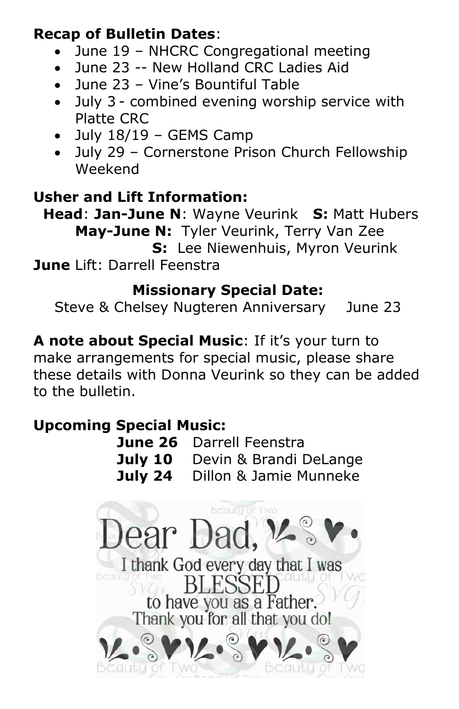### **Recap of Bulletin Dates**:

- June 19 NHCRC Congregational meeting
- June 23 -- New Holland CRC Ladies Aid
- June 23 Vine's Bountiful Table
- July 3 combined evening worship service with Platte CRC
- July 18/19 GEMS Camp
- July 29 Cornerstone Prison Church Fellowship Weekend

### **Usher and Lift Information:**

 **Head**: **Jan-June N**: Wayne Veurink **S:** Matt Hubers **May-June N:** Tyler Veurink, Terry Van Zee  **S:** Lee Niewenhuis, Myron Veurink **June** Lift: Darrell Feenstra

### **Missionary Special Date:**

Steve & Chelsey Nugteren Anniversary June 23

**A note about Special Music**: If it's your turn to make arrangements for special music, please share these details with Donna Veurink so they can be added to the bulletin.

### **Upcoming Special Music:**

| June 26 Darrell Feenstra              |
|---------------------------------------|
| <b>July 10</b> Devin & Brandi DeLange |
| <b>July 24</b> Dillon & Jamie Munneke |